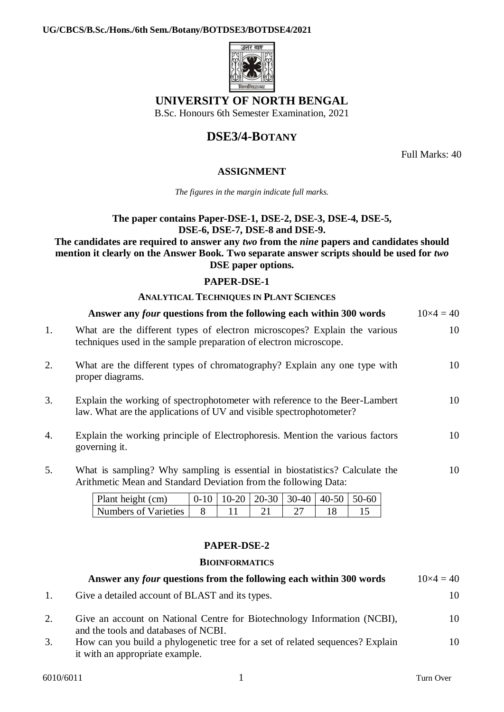

## **UNIVERSITY OF NORTH BENGAL**

B.Sc. Honours 6th Semester Examination, 2021

# **DSE3/4-BOTANY**

Full Marks: 40

## **ASSIGNMENT**

*The figures in the margin indicate full marks.*

## **The paper contains Paper-DSE-1, DSE-2, DSE-3, DSE-4, DSE-5, DSE-6, DSE-7, DSE-8 and DSE-9.**

#### **The candidates are required to answer any** *two* **from the** *nine* **papers and candidates should mention it clearly on the Answer Book. Two separate answer scripts should be used for** *two* **DSE paper options.**

## **PAPER-DSE-1**

## **ANALYTICAL TECHNIQUES IN PLANT SCIENCES**

|    | Answer any four questions from the following each within 300 words                                                                                 | $10\times4=40$ |
|----|----------------------------------------------------------------------------------------------------------------------------------------------------|----------------|
| 1. | What are the different types of electron microscopes? Explain the various<br>techniques used in the sample preparation of electron microscope.     | 10             |
| 2. | What are the different types of chromatography? Explain any one type with<br>proper diagrams.                                                      | 10             |
| 3. | Explain the working of spectrophotometer with reference to the Beer-Lambert<br>law. What are the applications of UV and visible spectrophotometer? | 10             |
| 4. | Explain the working principle of Electrophoresis. Mention the various factors<br>governing it.                                                     | 10             |
| 5. | What is sampling? Why sampling is essential in biostatistics? Calculate the                                                                        | 10             |

Arithmetic Mean and Standard Deviation from the following Data:

| Plant height (cm)    |  | $0-10$   10-20   20-30   30-40   40-50   50-60 |  |
|----------------------|--|------------------------------------------------|--|
| Numbers of Varieties |  |                                                |  |

## **PAPER-DSE-2**

## **BIOINFORMATICS**

|    | Answer any <i>four</i> questions from the following each within 300 words                                        | $10\times4=40$ |
|----|------------------------------------------------------------------------------------------------------------------|----------------|
|    | Give a detailed account of BLAST and its types.                                                                  | 10.            |
| 2. | Give an account on National Centre for Biotechnology Information (NCBI),<br>and the tools and databases of NCBI. | 10             |
| 3. | How can you build a phylogenetic tree for a set of related sequences? Explain<br>it with an appropriate example. | 10             |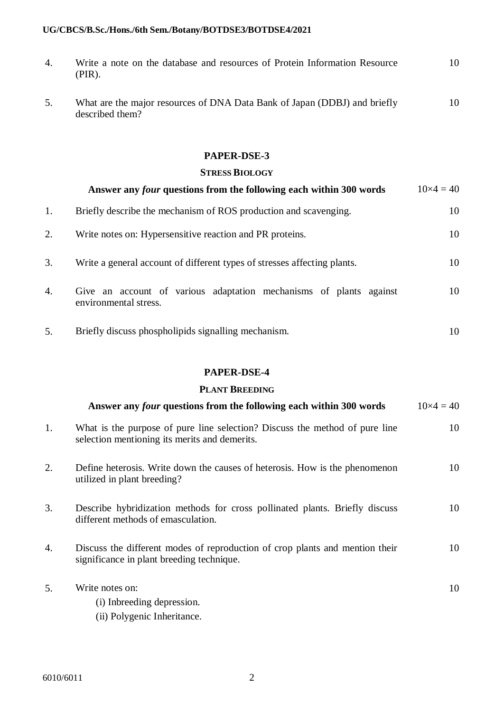| 4. | Write a note on the database and resources of Protein Information Resource<br>$(PIR)$ .      | 10 |
|----|----------------------------------------------------------------------------------------------|----|
| 5. | What are the major resources of DNA Data Bank of Japan (DDBJ) and briefly<br>described them? | 10 |

### **PAPER-DSE-3**

#### **STRESS BIOLOGY**

|    | Answer any <i>four</i> questions from the following each within 300 words                   | $10\times4=40$ |
|----|---------------------------------------------------------------------------------------------|----------------|
| 1. | Briefly describe the mechanism of ROS production and scavenging.                            | 10             |
| 2. | Write notes on: Hypersensitive reaction and PR proteins.                                    | 10             |
| 3. | Write a general account of different types of stresses affecting plants.                    | 10             |
| 4. | Give an account of various adaptation mechanisms of plants against<br>environmental stress. | 10             |
| 5. | Briefly discuss phospholipids signalling mechanism.                                         | 10             |

### **PAPER-DSE-4**

## **PLANT BREEDING**

|    | Answer any <i>four</i> questions from the following each within 300 words                                                    | $10\times4=40$ |
|----|------------------------------------------------------------------------------------------------------------------------------|----------------|
| 1. | What is the purpose of pure line selection? Discuss the method of pure line<br>selection mentioning its merits and demerits. | 10             |
| 2. | Define heterosis. Write down the causes of heterosis. How is the phenomenon<br>utilized in plant breeding?                   | 10             |
| 3. | Describe hybridization methods for cross pollinated plants. Briefly discuss<br>different methods of emasculation.            | 10             |
| 4. | Discuss the different modes of reproduction of crop plants and mention their<br>significance in plant breeding technique.    | 10             |
| 5. | Write notes on:<br>(i) Inbreeding depression.<br>(ii) Polygenic Inheritance.                                                 | 10             |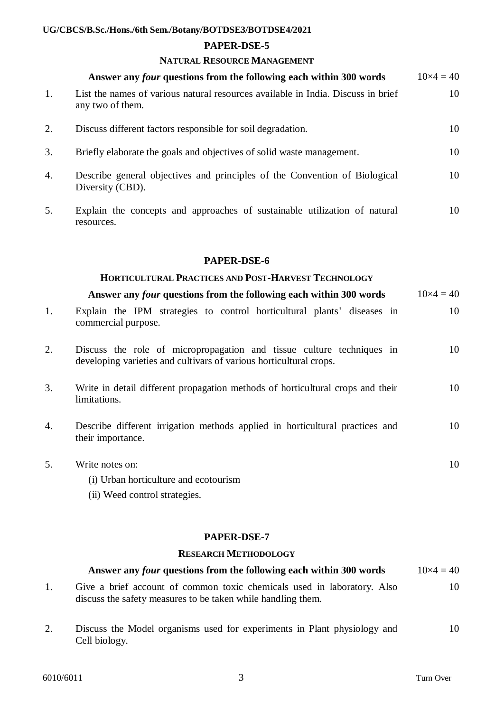#### **PAPER-DSE-5**

### **NATURAL RESOURCE MANAGEMENT**

|    | Answer any <i>four</i> questions from the following each within 300 words                            | $10\times4=40$ |
|----|------------------------------------------------------------------------------------------------------|----------------|
| 1. | List the names of various natural resources available in India. Discuss in brief<br>any two of them. | 10             |
| 2. | Discuss different factors responsible for soil degradation.                                          | 10             |
| 3. | Briefly elaborate the goals and objectives of solid waste management.                                | 10             |
| 4. | Describe general objectives and principles of the Convention of Biological<br>Diversity (CBD).       | 10             |
| 5. | Explain the concepts and approaches of sustainable utilization of natural<br>resources.              | 10             |

#### **PAPER-DSE-6**

## **HORTICULTURAL PRACTICES AND POST-HARVEST TECHNOLOGY** Answer any *four* questions from the following each within 300 words  $10 \times 4 = 40$

| commercial purpose. |  |  | Explain the IPM strategies to control horticultural plants' diseases in |  | 10 |
|---------------------|--|--|-------------------------------------------------------------------------|--|----|
|                     |  |  |                                                                         |  |    |

- 2. Discuss the role of micropropagation and tissue culture techniques in developing varieties and cultivars of various horticultural crops. 10
- 3. Write in detail different propagation methods of horticultural crops and their limitations. 10
- 4. Describe different irrigation methods applied in horticultural practices and their importance. 10
- 5. Write notes on: (i) Urban horticulture and ecotourism 10
	- (ii) Weed control strategies.

## **PAPER-DSE-7**

#### **RESEARCH METHODOLOGY**

| Answer any <i>four</i> questions from the following each within 300 words | $10\times4=40$ |
|---------------------------------------------------------------------------|----------------|
| Give a brief account of common toxic chemicals used in laboratory. Also   | 10             |
| discuss the safety measures to be taken while handling them.              |                |

2. Discuss the Model organisms used for experiments in Plant physiology and Cell biology. 10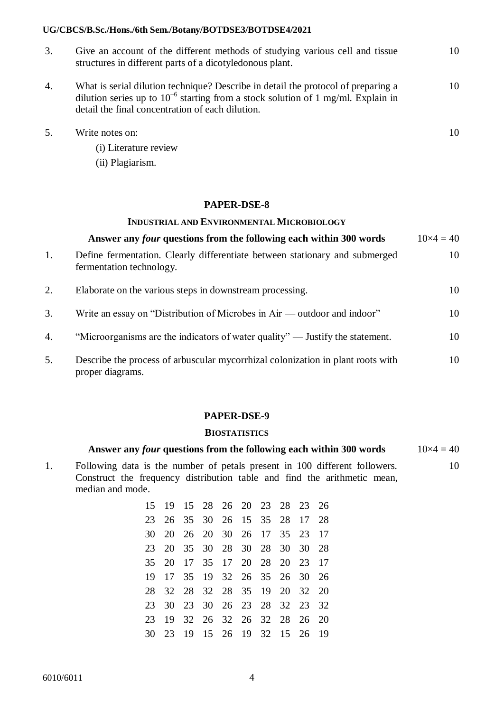| 3. | Give an account of the different methods of studying various cell and tissue<br>structures in different parts of a dicotyledonous plant.                                                                                       | 10 |
|----|--------------------------------------------------------------------------------------------------------------------------------------------------------------------------------------------------------------------------------|----|
| 4. | What is serial dilution technique? Describe in detail the protocol of preparing a<br>dilution series up to $10^{-6}$ starting from a stock solution of 1 mg/ml. Explain in<br>detail the final concentration of each dilution. | 10 |

10

- 5. Write notes on:
	- (i) Literature review
	- (ii) Plagiarism.

#### **PAPER-DSE-8**

#### **INDUSTRIAL AND ENVIRONMENTAL MICROBIOLOGY**

|    | Answer any <i>four</i> questions from the following each within 300 words                               | $10\times4=40$ |
|----|---------------------------------------------------------------------------------------------------------|----------------|
| 1. | Define fermentation. Clearly differentiate between stationary and submerged<br>fermentation technology. | 10             |
| 2. | Elaborate on the various steps in downstream processing.                                                | 10             |
| 3. | Write an essay on "Distribution of Microbes in Air — outdoor and indoor"                                | 10             |
| 4. | "Microorganisms are the indicators of water quality" — Justify the statement.                           | 10             |
| 5. | Describe the process of arbuscular mycorrhizal colonization in plant roots with<br>proper diagrams.     | 10             |

#### **PAPER-DSE-9**

#### **BIOSTATISTICS**

#### Answer any *four* questions from the following each within 300 words  $10 \times 4 = 40$

1. Following data is the number of petals present in 100 different followers. Construct the frequency distribution table and find the arithmetic mean, median and mode. 10

| 15 19 15 28 26 20 23 28 23 26 |  |  |  |  |
|-------------------------------|--|--|--|--|
| 23 26 35 30 26 15 35 28 17 28 |  |  |  |  |
| 30 20 26 20 30 26 17 35 23 17 |  |  |  |  |
| 23 20 35 30 28 30 28 30 30 28 |  |  |  |  |
| 35 20 17 35 17 20 28 20 23 17 |  |  |  |  |
| 19 17 35 19 32 26 35 26 30 26 |  |  |  |  |
| 28 32 28 32 28 35 19 20 32 20 |  |  |  |  |
| 23 30 23 30 26 23 28 32 23 32 |  |  |  |  |
| 23 19 32 26 32 26 32 28 26 20 |  |  |  |  |
| 30 23 19 15 26 19 32 15 26 19 |  |  |  |  |